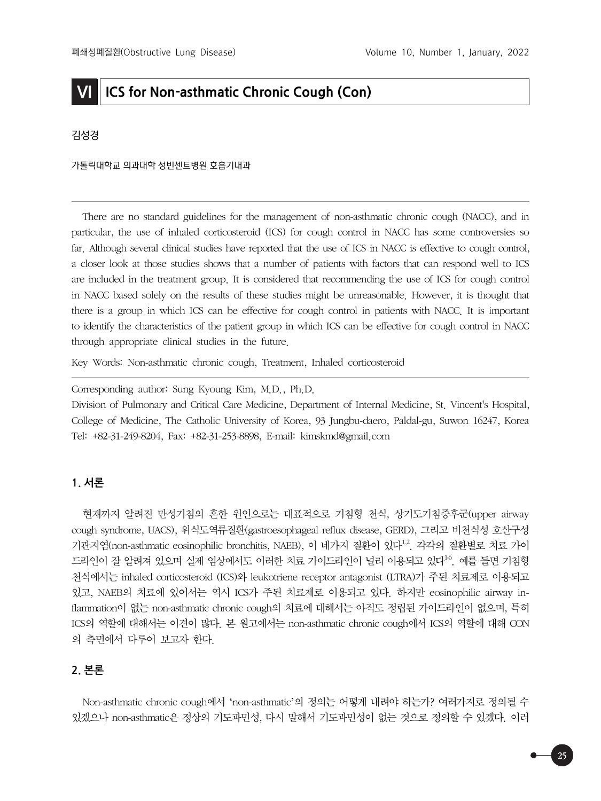# **VI ICS for Non-asthmatic Chronic Cough (Con)**

### 김성경

#### 가톨릭대학교 의과대학 성빈센트병원 호흡기내과

There are no standard guidelines for the management of non-asthmatic chronic cough (NACC), and in particular, the use of inhaled corticosteroid (ICS) for cough control in NACC has some controversies so far. Although several clinical studies have reported that the use of ICS in NACC is effective to cough control, a closer look at those studies shows that a number of patients with factors that can respond well to ICS are included in the treatment group. It is considered that recommending the use of ICS for cough control in NACC based solely on the results of these studies might be unreasonable. However, it is thought that there is a group in which ICS can be effective for cough control in patients with NACC. It is important to identify the characteristics of the patient group in which ICS can be effective for cough control in NACC through appropriate clinical studies in the future.

Key Words: Non-asthmatic chronic cough, Treatment, Inhaled corticosteroid

Corresponding author: Sung Kyoung Kim, M.D., Ph.D.

Division of Pulmonary and Critical Care Medicine, Department of Internal Medicine, St. Vincent's Hospital, College of Medicine, The Catholic University of Korea, 93 Jungbu-daero, Paldal-gu, Suwon 16247, Korea Tel: +82-31-249-8204, Fax: +82-31-253-8898, E-mail: kimskmd@gmail.com

### **1. 서론**

현재까지 알려진 만성기침의 흔한 원인으로는 대표적으로 기침형 천식, 상기도기침증후군(upper airway cough syndrome, UACS), 위식도역류질환(gastroesophageal reflux disease, GERD), 그리고 비천식성 호산구성 기관지염(non-asthmatic eosinophilic bronchitis, NAEB), 이 네가지 질환이 있다<sup>1,2</sup>. 각각의 질환별로 치료 가이 드라인이 잘 알려져 있으며 실제 임상에서도 이러한 치료 가이드라인이 널리 이용되고 있다<sup>16</sup>. 예를 들면 기침형 천식에서는 inhaled corticosteroid (ICS)와 leukotriene receptor antagonist (LTRA)가 주된 치료제로 이용되고 있고, NAEB의 치료에 있어서는 역시 ICS가 주된 치료제로 이용되고 있다. 하지만 eosinophilic airway inflammation이 없는 non-asthmatic chronic cough의 치료에 대해서는 아직도 정립된 가이드라인이 없으며, 특히 ICS의 역할에 대해서는 이견이 많다. 본 원고에서는 non-asthmatic chronic cough에서 ICS의 역할에 대해 CON 의 측면에서 다루어 보고자 한다.

# **2. 본론**

Non-asthmatic chronic cough에서 'non-asthmatic'의 정의는 어떻게 내려야 하는가? 여러가지로 정의될 수 있겠으나 non-asthmatic은 정상의 기도과민성, 다시 말해서 기도과민성이 없는 것으로 정의할 수 있겠다. 이러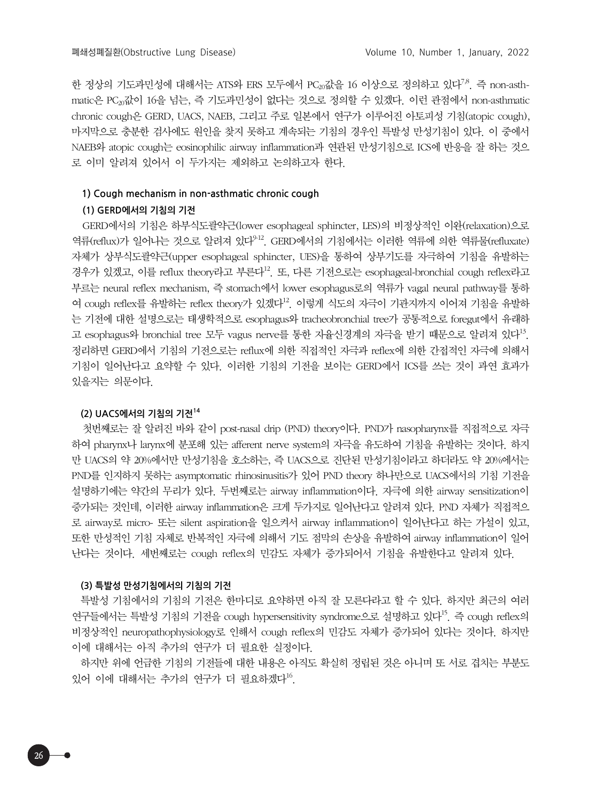한 정상의 기도과민성에 대해서는 ATS와 ERS 모두에서 PC $_{\alpha}$ 값을 16 이상으로 정의하고 있다<sup>7,8</sup>. 즉 non-asthmatic은 PC20값이 16을 넘는, 즉 기도과민성이 없다는 것으로 정의할 수 있겠다. 이런 관점에서 non-asthmatic chronic cough은 GERD, UACS, NAEB, 그리고 주로 일본에서 연구가 이루어진 아토피성 기침(atopic cough), 마지막으로 충분한 검사에도 원인을 찾지 못하고 계속되는 기침의 경우인 특발성 만성기침이 있다. 이 중에서 NAEB와 atopic cough는 eosinophilic airway inflammation과 연관된 만성기침으로 ICS에 반응을 잘 하는 것으 로 이미 알려져 있어서 이 두가지는 제외하고 논의하고자 한다.

#### **1) Cough mechanism in non-asthmatic chronic cough**

#### **(1) GERD에서의 기침의 기전**

GERD에서의 기침은 하부식도괄약근(lower esophageal sphincter, LES)의 비정상적인 이완(relaxation)으로 역류(reflux)가 일어나는 것으로 알려져 있다<sup>912</sup>. GERD에서의 기침에서는 이러한 역류에 의한 역류물(refluxate) 자체가 상부식도괄약근(upper esophageal sphincter, UES)을 통하여 상부기도를 자극하여 기침을 유발하는 경우가 있겠고, 이를 reflux theory라고 부른다<sup>12</sup>. 또, 다른 기전으로는 esophageal-bronchial cough reflex라고 부르는 neural reflex mechanism, 즉 stomach에서 lower esophagus로의 역류가 vagal neural pathway를 통하 여 cough reflex를 유발하는 reflex theory가 있겠다 $^{12}$ . 이렇게 식도의 자극이 기관지까지 이어져 기침을 유발하 는 기전에 대한 설명으로는 태생학적으로 esophagus와 tracheobronchial tree가 공통적으로 foregut에서 유래하 고 esophagus와 bronchial tree 모두 vagus nerve를 통한 자율신경계의 자극을 받기 때문으로 알려져 있다<sup>13</sup>. 정리하면 GERD에서 기침의 기전으로는 reflux에 의한 직접적인 자극과 reflex에 의한 간접적인 자극에 의해서 기침이 일어난다고 요약할 수 있다. 이러한 기침의 기전을 보이는 GERD에서 ICS를 쓰는 것이 과연 효과가 있을지는 의문이다.

#### **(2) UACS에서의 기침의 기전<sup>14</sup>**

첫번째로는 잘 알려진 바와 같이 post-nasal drip (PND) theory이다. PND가 nasopharynx를 직접적으로 자극 하여 pharynx나 larynx에 분포해 있는 afferent nerve system의 자극을 유도하여 기침을 유발하는 것이다. 하지 만 UACS의 약 20%에서만 만성기침을 호소하는, 즉 UACS으로 진단된 만성기침이라고 하더라도 약 20%에서는 PND를 인지하지 못하는 asymptomatic rhinosinusitis가 있어 PND theory 하나만으로 UACS에서의 기침 기전을 설명하기에는 약간의 무리가 있다. 두번째로는 airway inflammation이다. 자극에 의한 airway sensitization이 증가되는 것인데, 이러한 airway inflammation은 크게 두가지로 일어난다고 알려져 있다. PND 자체가 직접적으 로 airway로 micro- 또는 silent aspiration을 일으켜서 airway inflammation이 일어난다고 하는 가설이 있고, 또한 만성적인 기침 자체로 반복적인 자극에 의해서 기도 점막의 손상을 유발하여 airway inflammation이 일어 난다는 것이다. 세번째로는 cough reflex의 민감도 자체가 증가되어서 기침을 유발한다고 알려져 있다.

#### **(3) 특발성 만성기침에서의 기침의 기전**

특발성 기침에서의 기침의 기전은 한마디로 요약하면 아직 잘 모른다라고 할 수 있다. 하지만 최근의 여러 연구들에서는 특발성 기침의 기전을 cough hypersensitivity syndrome으로 설명하고 있다<sup>15</sup>. 즉 cough reflex의 비정상적인 neuropathophysiology로 인해서 cough reflex의 민감도 자체가 증가되어 있다는 것이다. 하지만 이에 대해서는 아직 추가의 연구가 더 필요한 실정이다.

하지만 위에 언급한 기침의 기전들에 대한 내용은 아직도 확실히 정립된 것은 아니며 또 서로 겹치는 부분도 있어 이에 대해서는 추가의 연구가 더 필요하겠다<sup>16</sup>.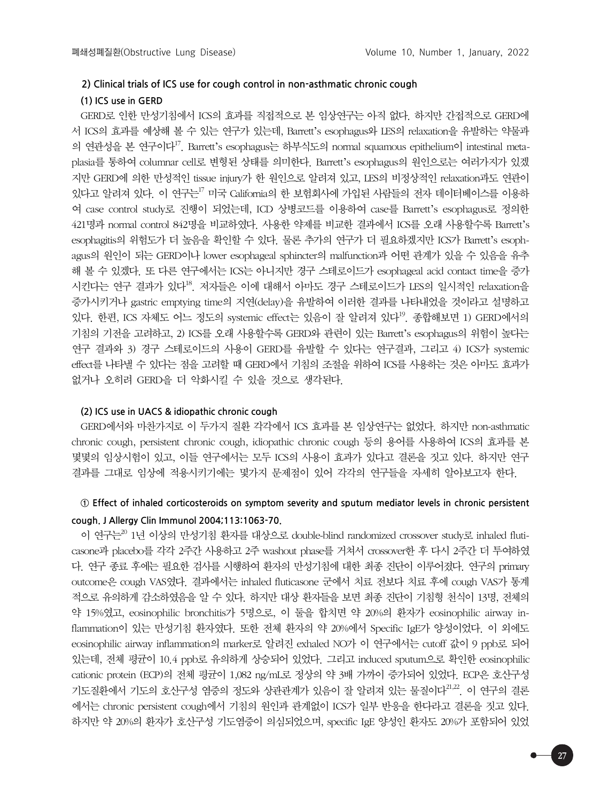#### **2) Clinical trials of ICS use for cough control in non-asthmatic chronic cough**

#### **(1) ICS use in GERD**

GERD로 인한 만성기침에서 ICS의 효과를 직접적으로 본 임상연구는 아직 없다. 하지만 간접적으로 GERD에 서 ICS의 효과를 예상해 볼 수 있는 연구가 있는데, Barrett's esophagus와 LES의 relaxation을 유발하는 약물과 의 연관성을 본 연구이다<sup>17</sup>. Barrett's esophagus는 하부식도의 normal squamous epithelium이 intestinal metaplasia를 통하여 columnar cell로 변형된 상태를 의미한다. Barrett's esophagus의 원인으로는 여러가지가 있겠 지만 GERD에 의한 만성적인 tissue injury가 한 원인으로 알려져 있고, LES의 비정상적인 relaxation과도 연관이 있다고 알려져 있다. 이 연구는17 미국 California의 한 보험회사에 가입된 사람들의 전자 데이터베이스를 이용하 여 case control study로 진행이 되었는데, ICD 상병코드를 이용하여 case를 Barrett's esophagus로 정의한 421명과 normal control 842명을 비교하였다. 사용한 약제를 비교한 결과에서 ICS를 오래 사용할수록 Barrett's esophagitis의 위험도가 더 높음을 확인할 수 있다. 물론 추가의 연구가 더 필요하겠지만 ICS가 Barrett's esophagus의 원인이 되는 GERD이나 lower esophageal sphincter의 malfunction과 어떤 관계가 있을 수 있음을 유추 해 볼 수 있겠다. 또 다른 연구에서는 ICS는 아니지만 경구 스테로이드가 esophageal acid contact time을 증가 시킨다는 연구 결과가 있다<sup>18</sup>. 저자들은 이에 대해서 아마도 경구 스테로이드가 LES의 일시적인 relaxation을 증가시키거나 gastric emptying time의 지연(delay)을 유발하여 이러한 결과를 나타내었을 것이라고 설명하고 있다. 한편, ICS 자체도 어느 정도의 systemic effect는 있음이 잘 알려져 있다<sup>19</sup>. 종합해보면 1) GERD에서의 기침의 기전을 고려하고, 2) ICS를 오래 사용할수록 GERD와 관련이 있는 Barrett's esophagus의 위험이 높다는 연구 결과와 3) 경구 스테로이드의 사용이 GERD를 유발할 수 있다는 연구결과, 그리고 4) ICS가 systemic effect를 나타낼 수 있다는 점을 고려할 때 GERD에서 기침의 조절을 위하여 ICS를 사용하는 것은 아마도 효과가 없거나 오히려 GERD을 더 악화시킬 수 있을 것으로 생각된다.

#### **(2) ICS use in UACS & idiopathic chronic cough**

GERD에서와 마찬가지로 이 두가지 질환 각각에서 ICS 효과를 본 임상연구는 없었다. 하지만 non-asthmatic chronic cough, persistent chronic cough, idiopathic chronic cough 등의 용어를 사용하여 ICS의 효과를 본 몇몇의 임상시험이 있고, 이들 연구에서는 모두 ICS의 사용이 효과가 있다고 결론을 짓고 있다. 하지만 연구 결과를 그대로 임상에 적용시키기에는 몇가지 문제점이 있어 각각의 연구들을 자세히 알아보고자 한다.

# **① Effect of inhaled corticosteroids on symptom severity and sputum mediator levels in chronic persistent cough. J Allergy Clin Immunol 2004;113:1063-70.**

이 연구는<sup>20</sup> 1년 이상의 만성기침 환자를 대상으로 double-blind randomized crossover study로 inhaled fluticasone과 placebo를 각각 2주간 사용하고 2주 washout phase를 거쳐서 crossover한 후 다시 2주간 더 투여하였 다. 연구 종료 후에는 필요한 검사를 시행하여 환자의 만성기침에 대한 최종 진단이 이루어졌다. 연구의 primary outcome은 cough VAS였다. 결과에서는 inhaled fluticasone 군에서 치료 전보다 치료 후에 cough VAS가 통계 적으로 유의하게 감소하였음을 알 수 있다. 하지만 대상 환자들을 보면 최종 진단이 기침형 천식이 13명, 전체의 약 15%였고, eosinophilic bronchitis가 5명으로, 이 둘을 합치면 약 20%의 환자가 eosinophilic airway inflammation이 있는 만성기침 환자였다. 또한 전체 환자의 약 20%에서 Specific IgE가 양성이었다. 이 외에도 eosinophilic airway inflammation의 marker로 알려진 exhaled NO가 이 연구에서는 cutoff 값이 9 ppb로 되어 있는데, 전체 평균이 10.4 ppb로 유의하게 상승되어 있었다. 그리고 induced sputum으로 확인한 eosinophilic cationic protein (ECP)의 전체 평균이 1,082 ng/mL로 정상의 약 3배 가까이 증가되어 있었다. ECP은 호산구성 기도질환에서 기도의 호산구성 염증의 정도와 상관관계가 있음이 잘 알려져 있는 물질이다<sup>21,22</sup>. 이 여구의 결론 에서는 chronic persistent cough에서 기침의 원인과 관계없이 ICS가 일부 반응을 한다라고 결론을 짓고 있다. 하지만 약 20%의 환자가 호산구성 기도염증이 의심되었으며, specific IgE 양성인 환자도 20%가 포함되어 있었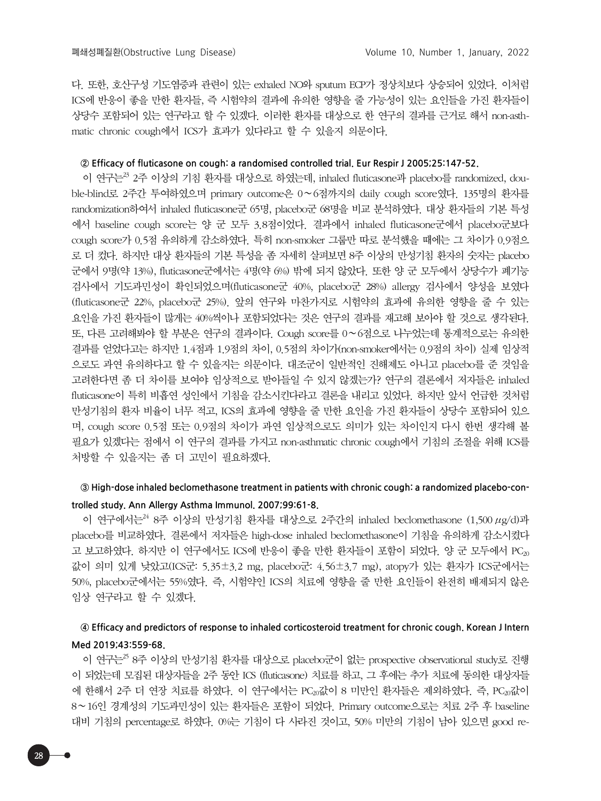다. 또한, 호산구성 기도염증과 관련이 있는 exhaled NO와 sputum ECP가 정상치보다 상승되어 있었다. 이처럼 ICS에 반응이 좋을 만한 환자들, 즉 시험약의 결과에 유의한 영향을 줄 가능성이 있는 요인들을 가진 환자들이 상당수 포함되어 있는 연구라고 할 수 있겠다. 이러한 환자를 대상으로 한 연구의 결과를 근거로 해서 non-asthmatic chronic cough에서 ICS가 효과가 있다라고 할 수 있을지 의문이다.

#### **② Efficacy of fluticasone on cough: a randomised controlled trial. Eur Respir J 2005;25:147-52.**

이 연구는 $^{23}$  2주 이상의 기침 환자를 대상으로 하였는데, inhaled fluticasone과 placebo를 randomized, double-blind로 2주간 투여하였으며 primary outcome은 0∼6점까지의 daily cough score였다. 135명의 환자를 randomization하여서 inhaled fluticasone군 65명, placebo군 68명을 비교 분석하였다. 대상 환자들의 기본 특성 에서 baseline cough score는 양 군 모두 3.8점이었다. 결과에서 inhaled fluticasone군에서 placebo군보다 cough score가 0.5점 유의하게 감소하였다. 특히 non-smoker 그룹만 따로 분석했을 때에는 그 차이가 0.9점으 로 더 컸다. 하지만 대상 환자들의 기본 특성을 좀 자세히 살펴보면 8주 이상의 만성기침 환자의 숫자는 placebo 군에서 9명(약 13%), fluticasone군에서는 4명(약 6%) 밖에 되지 않았다. 또한 양 군 모두에서 상당수가 폐기능 검사에서 기도과민성이 확인되었으며(fluticasone군 40%, placebo군 28%) allergy 검사에서 양성을 보였다 (fluticasone군 22%, placebo군 25%). 앞의 연구와 마찬가지로 시험약의 효과에 유의한 영향을 줄 수 있는 요인을 가진 환자들이 많게는 40%씩이나 포함되었다는 것은 연구의 결과를 재고해 보아야 할 것으로 생각된다. 또, 다른 고려해봐야 할 부분은 연구의 결과이다. Cough score를 0∼6점으로 나누었는데 통계적으로는 유의한 결과를 얻었다고는 하지만 1.4점과 1.9점의 차이, 0.5점의 차이가(non-smoker에서는 0.9점의 차이) 실제 임상적 으로도 과연 유의하다고 할 수 있을지는 의문이다. 대조군이 일반적인 진해제도 아니고 placebo를 준 것임을 고려한다면 좀 더 차이를 보여야 임상적으로 받아들일 수 있지 않겠는가? 연구의 결론에서 저자들은 inhaled fluticasone이 특히 비흡연 성인에서 기침을 감소시킨다라고 결론을 내리고 있었다. 하지만 앞서 언급한 것처럼 만성기침의 환자 비율이 너무 적고, ICS의 효과에 영향을 줄 만한 요인을 가진 환자들이 상당수 포함되어 있으 며, cough score 0.5점 또는 0.9점의 차이가 과연 임상적으로도 의미가 있는 차이인지 다시 한번 생각해 볼 필요가 있겠다는 점에서 이 연구의 결과를 가지고 non-asthmatic chronic cough에서 기침의 조절을 위해 ICS를 처방할 수 있을지는 좀 더 고민이 필요하겠다.

# **③ High-dose inhaled beclomethasone treatment in patients with chronic cough: a randomized placebo-controlled study. Ann Allergy Asthma Immunol. 2007;99:61-8.**

이 연구에서는 $^{24}$  8주 이상의 만성기침 환자를 대상으로 2주간의 inhaled beclomethasone (1,500  $\mu$ g/d)과 placebo를 비교하였다. 결론에서 저자들은 high-dose inhaled beclomethasone이 기침을 유의하게 감소시켰다 고 보고하였다. 하지만 이 연구에서도 ICS에 반응이 좋을 만한 환자들이 포함이 되었다. 양 군 모두에서 PC20 값이 의미 있게 낮았고(ICS군: 5.35±3.2 mg, placebo군: 4.56±3.7 mg), atopy가 있는 환자가 ICS군에서는 50%, placebo군에서는 55%였다. 즉, 시험약인 ICS의 치료에 영향을 줄 만한 요인들이 완전히 배제되지 않은 임상 연구라고 할 수 있겠다.

## **④ Efficacy and predictors of response to inhaled corticosteroid treatment for chronic cough. Korean J Intern Med 2019;43:559-68.**

이 연구는<sup>25</sup> 8주 이상의 만성기침 환자를 대상으로 placebo군이 없는 prospective observational study로 진행 이 되었는데 모집된 대상자들을 2주 동안 ICS (fluticasone) 치료를 하고, 그 후에는 추가 치료에 동의한 대상자들 에 한해서 2주 더 연장 치료를 하였다. 이 연구에서는 PC<sub>20</sub>값이 8 미만인 환자들은 제외하였다. 즉, PC<sub>20</sub>값이 8∼16인 경계성의 기도과민성이 있는 환자들은 포함이 되었다. Primary outcome으로는 치료 2주 후 baseline 대비 기침의 percentage로 하였다. 0%는 기침이 다 사라진 것이고, 50% 미만의 기침이 남아 있으면 good re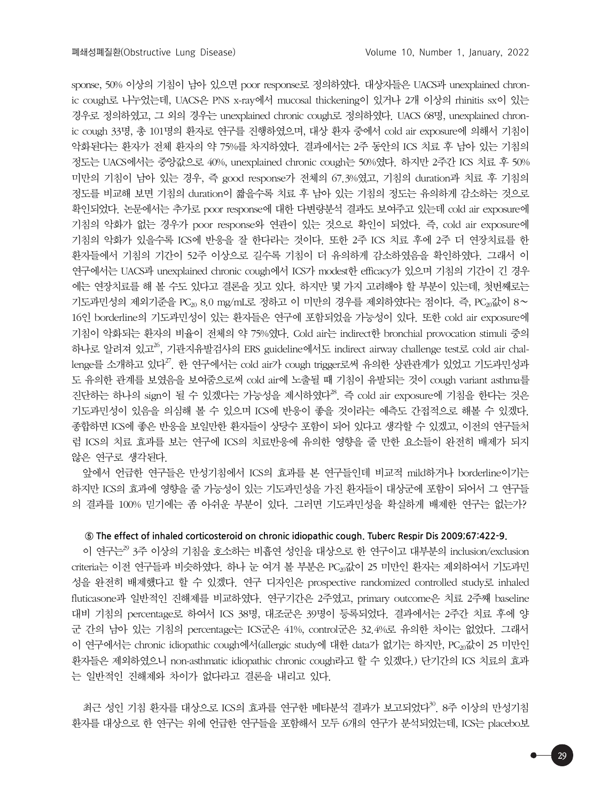sponse, 50% 이상의 기침이 남아 있으면 poor response로 정의하였다. 대상자들은 UACS과 unexplained chronic cough로 나누었는데, UACS은 PNS x-ray에서 mucosal thickening이 있거나 2개 이상의 rhinitis sx이 있는 경우로 정의하였고, 그 외의 경우는 unexplained chronic cough로 정의하였다. UACS 68명, unexplained chronic cough 33명, 총 101명의 환자로 연구를 진행하였으며, 대상 환자 중에서 cold air exposure에 의해서 기침이 악화된다는 환자가 전체 환자의 약 75%를 차지하였다. 결과에서는 2주 동안의 ICS 치료 후 남아 있는 기침의 정도는 UACS에서는 중앙값으로 40%, unexplained chronic cough는 50%였다. 하지만 2주간 ICS 치료 후 50% 미만의 기침이 남아 있는 경우, 즉 good response가 전체의 67.3%였고, 기침의 duration과 치료 후 기침의 정도를 비교해 보면 기침의 duration이 짧을수록 치료 후 남아 있는 기침의 정도는 유의하게 감소하는 것으로 확인되었다. 논문에서는 추가로 poor response에 대한 다변량분석 결과도 보여주고 있는데 cold air exposure에 기침의 악화가 없는 경우가 poor response와 연관이 있는 것으로 확인이 되었다. 즉, cold air exposure에 기침의 악화가 있을수록 ICS에 반응을 잘 한다라는 것이다. 또한 2주 ICS 치료 후에 2주 더 연장치료를 한 환자들에서 기침의 기간이 52주 이상으로 길수록 기침이 더 유의하게 감소하였음을 확인하였다. 그래서 이 연구에서는 UACS과 unexplained chronic cough에서 ICS가 modest한 efficacy가 있으며 기침의 기간이 긴 경우 에는 연장치료를 해 볼 수도 있다고 결론을 짓고 있다. 하지만 몇 가지 고려해야 할 부분이 있는데, 첫번째로는 기도과민성의 제외기준을 PC<sub>20</sub> 8.0 mg/mL로 정하고 이 미만의 경우를 제외하였다는 점이다. 즉, PC<sub>20</sub>값이 8∼ 16인 borderline의 기도과민성이 있는 환자들은 연구에 포함되었을 가능성이 있다. 또한 cold air exposure에 기침이 악화되는 환자의 비율이 전체의 약 75%였다. Cold air는 indirect한 bronchial provocation stimuli 중의 하나로 알려져 있고<sup>26</sup>, 기관지유발검사의 ERS guideline에서도 indirect airway challenge test로 cold air challenge를 소개하고 있다<sup>27</sup>. 한 연구에서는 cold air가 cough trigger로써 유의한 상관관계가 있었고 기도과민성과 도 유의한 관계를 보였음을 보여줌으로써 cold air에 노출될 때 기침이 유발되는 것이 cough variant asthma를 진단하는 하나의 sign이 될 수 있겠다는 가능성을 제시하였다 $^{28}$ . 즉 cold air exposure에 기침을 한다는 것은 기도과민성이 있음을 의심해 볼 수 있으며 ICS에 반응이 좋을 것이라는 예측도 간접적으로 해볼 수 있겠다. 종합하면 ICS에 좋은 반응을 보일만한 환자들이 상당수 포함이 되어 있다고 생각할 수 있겠고, 이전의 연구들처 럼 ICS의 치료 효과를 보는 연구에 ICS의 치료반응에 유의한 영향을 줄 만한 요소들이 완전히 배제가 되지 않은 연구로 생각된다.

앞에서 언급한 연구들은 만성기침에서 ICS의 효과를 본 연구들인데 비교적 mild하거나 borderline이기는 하지만 ICS의 효과에 영향을 줄 가능성이 있는 기도과민성을 가진 환자들이 대상군에 포함이 되어서 그 연구들 의 결과를 100% 믿기에는 좀 아쉬운 부분이 있다. 그러면 기도과민성을 확실하게 배제한 연구는 없는가?

#### **⑤ The effect of inhaled corticosteroid on chronic idiopathic cough. Tuberc Respir Dis 2009;67:422-9.**

이 연구는<sup>29</sup> 3주 이상의 기침을 호소하는 비흡연 성인을 대상으로 한 연구이고 대부분의 inclusion/exclusion criteria는 이전 연구들과 비슷하였다. 하나 눈 여겨 볼 부분은 PC20값이 25 미만인 환자는 제외하여서 기도과민 성을 완전히 배제했다고 할 수 있겠다. 연구 디자인은 prospective randomized controlled study로 inhaled fluticasone과 일반적인 진해제를 비교하였다. 연구기간은 2주였고, primary outcome은 치료 2주째 baseline 대비 기침의 percentage로 하여서 ICS 38명, 대조군은 39명이 등록되었다. 결과에서는 2주간 치료 후에 양 군 간의 남아 있는 기침의 percentage는 ICS군은 41%, control군은 32.4%로 유의한 차이는 없었다. 그래서 이 연구에서는 chronic idiopathic cough에서(allergic study에 대한 data가 없기는 하지만, PC<sub>20</sub>값이 25 미만인 환자들은 제외하였으니 non-asthmatic idiopathic chronic cough라고 할 수 있겠다.) 단기간의 ICS 치료의 효과 는 일반적인 진해제와 차이가 없다라고 결론을 내리고 있다.

최근 성인 기침 환자를 대상으로 ICS의 효과를 연구한 메타분석 결과가 보고되었다<sup>30</sup>. 8주 이상의 만성기침 환자를 대상으로 한 연구는 위에 언급한 연구들을 포함해서 모두 6개의 연구가 분석되었는데, ICS는 placebo보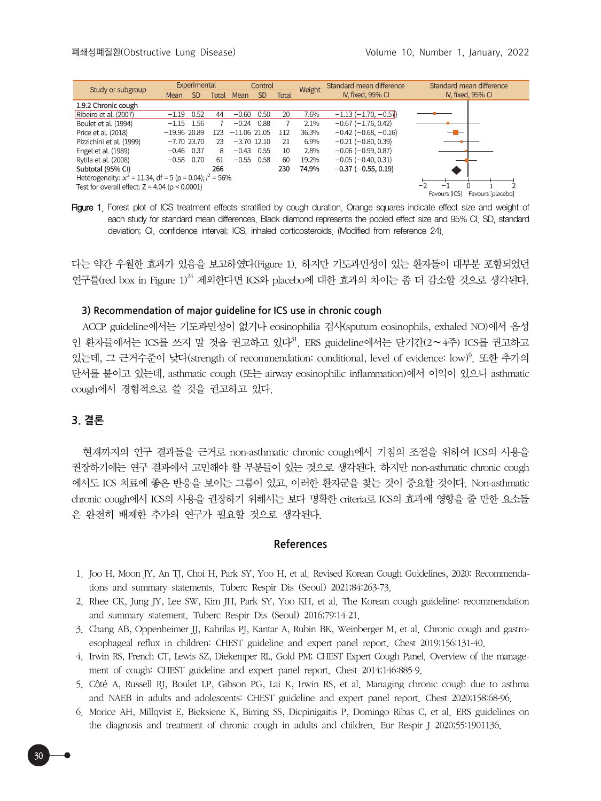| Study or subgroup                                              | Experimental   |           |       | Control        |           |       | Weight | Standard mean difference      | Standard mean difference           |
|----------------------------------------------------------------|----------------|-----------|-------|----------------|-----------|-------|--------|-------------------------------|------------------------------------|
|                                                                | Mean           | <b>SD</b> | Total | Mean           | <b>SD</b> | Total |        | IV, fixed, 95% CI             | IV, fixed, 95% CI                  |
| 1.9.2 Chronic cough                                            |                |           |       |                |           |       |        |                               |                                    |
| Ribeiro et al. (2007)                                          | $-1.19$        | 0.52      | 44    | $-0.60$        | 0.50      | 20    | 7.6%   | $-1.13(-1.70,-0.57)$          |                                    |
| Boulet et al. (1994)                                           | $-1.15$        | 1.56      |       | $-0.24$        | 0.88      |       | 2.1%   | $-0.67$ ( $-1.76$ , 0.42)     |                                    |
| Price et al. (2018)                                            | $-19.96$ 20.89 |           | 123   | $-11.06$ 21.05 |           | 112   | 36.3%  | $-0.42$ ( $-0.68$ , $-0.16$ ) | ——                                 |
| Pizzichini et al. (1999)                                       | $-7.70$ 23.70  |           | 23    | $-3.70$ 12.10  |           | 21    | 6.9%   | $-0.21$ ( $-0.80$ , 0.39)     |                                    |
| Engel et al. (1989)                                            | $-0.46$ 0.37   |           | 8     | $-0.43$        | 0.55      | 10    | 2.8%   | $-0.06$ ( $-0.99$ , 0.87)     |                                    |
| Rytila et al. (2008)                                           | $-0.58$ 0.70   |           | -61   | $-0.55$ 0.58   |           | 60    | 19.2%  | $-0.05$ ( $-0.40$ , 0.31)     |                                    |
| Subtotal (95% CI)                                              |                |           | 266   |                |           | 230   | 74.9%  | $-0.37$ ( $-0.55$ , 0.19)     |                                    |
| Heterogeneity: $x^2 = 11.34$ , df = 5 (p = 0.04); $l^2 = 56\%$ |                |           |       |                |           |       |        |                               |                                    |
| Test for overall effect: $Z = 4.04$ ( $p < 0.0001$ )           |                |           |       |                |           |       |        |                               |                                    |
|                                                                |                |           |       |                |           |       |        |                               | Favours [ICS]<br>Favours [placebo] |

Figure 1. Forest plot of ICS treatment effects stratified by cough duration. Orange squares indicate effect size and weight of each study for standard mean differences. Black diamond represents the pooled effect size and 95% CI. SD, standard deviation; CI, confidence interval; ICS, inhaled corticosteroids. (Modified from reference 24).

다는 약간 우월한 효과가 있음을 보고하였다(Figure 1). 하지만 기도과민성이 있는 환자들이 대부분 포함되었던 연구를 (red box in Figure  $1$ )<sup>24</sup> 제외한다면 ICS와 placebo에 대한 효과의 차이는 좀 더 감소할 것으로 생각된다.

#### **3) Recommendation of major guideline for ICS use in chronic cough**

ACCP guideline에서는 기도과민성이 없거나 eosinophilia 검사(sputum eosinophils, exhaled NO)에서 음성 인 환자들에서는 ICS를 쓰지 말 것을 권고하고 있다<sup>31</sup>. ERS guideline에서는 단기간(2∼4주) ICS를 권고하고 있는데, 그 근거수준이 낮다(strength of recommendation: conditional, level of evidence: low)<sup>6</sup>. 또한 추가의 단서를 붙이고 있는데, asthmatic cough (또는 airway eosinophilic inflammation)에서 이익이 있으니 asthmatic cough에서 경험적으로 쓸 것을 권고하고 있다.

### **3. 결론**

현재까지의 연구 결과들을 근거로 non-asthmatic chronic cough에서 기침의 조절을 위하여 ICS의 사용을 권장하기에는 연구 결과에서 고민해야 할 부분들이 있는 것으로 생각된다. 하지만 non-asthmatic chronic cough 에서도 ICS 치료에 좋은 반응을 보이는 그룹이 있고, 이러한 환자군을 찾는 것이 중요할 것이다. Non-asthmatic chronic cough에서 ICS의 사용을 권장하기 위해서는 보다 명확한 criteria로 ICS의 효과에 영향을 줄 만한 요소들 은 완전히 배제한 추가의 연구가 필요할 것으로 생각된다.

#### **References**

- 1. Joo H, Moon JY, An TJ, Choi H, Park SY, Yoo H, et al. Revised Korean Cough Guidelines, 2020: Recommendations and summary statements. Tuberc Respir Dis (Seoul) 2021;84:263-73.
- 2. Rhee CK, Jung JY, Lee SW, Kim JH, Park SY, Yoo KH, et al. The Korean cough guideline: recommendation and summary statement. Tuberc Respir Dis (Seoul) 2016;79:14-21.
- 3. Chang AB, Oppenheimer JJ, Kahrilas PJ, Kantar A, Rubin BK, Weinberger M, et al. Chronic cough and gastroesophageal reflux in children: CHEST guideline and expert panel report. Chest 2019;156:131-40.
- 4. Irwin RS, French CT, Lewis SZ, Diekemper RL, Gold PM; CHEST Expert Cough Panel. Overview of the management of cough: CHEST guideline and expert panel report. Chest 2014;146:885-9.
- 5. Côté A, Russell RJ, Boulet LP, Gibson PG, Lai K, Irwin RS, et al. Managing chronic cough due to asthma and NAEB in adults and adolescents: CHEST guideline and expert panel report. Chest 2020;158:68-96.
- 6. Morice AH, Millqvist E, Bieksiene K, Birring SS, Dicpinigaitis P, Domingo Ribas C, et al. ERS guidelines on the diagnosis and treatment of chronic cough in adults and children. Eur Respir J 2020;55:1901136.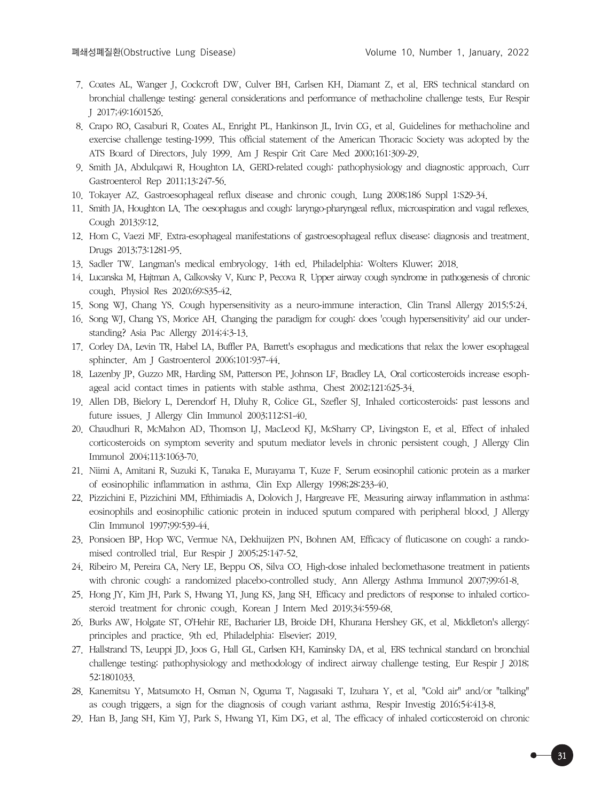- 7. Coates AL, Wanger J, Cockcroft DW, Culver BH, Carlsen KH, Diamant Z, et al. ERS technical standard on bronchial challenge testing: general considerations and performance of methacholine challenge tests. Eur Respir J 2017;49:1601526.
- 8. Crapo RO, Casaburi R, Coates AL, Enright PL, Hankinson JL, Irvin CG, et al. Guidelines for methacholine and exercise challenge testing-1999. This official statement of the American Thoracic Society was adopted by the ATS Board of Directors, July 1999. Am J Respir Crit Care Med 2000;161:309-29.
- 9. Smith JA, Abdulqawi R, Houghton LA. GERD-related cough: pathophysiology and diagnostic approach. Curr Gastroenterol Rep 2011;13:247-56.
- 10. Tokayer AZ. Gastroesophageal reflux disease and chronic cough. Lung 2008;186 Suppl 1:S29-34.
- 11. Smith JA, Houghton LA. The oesophagus and cough: laryngo-pharyngeal reflux, microaspiration and vagal reflexes. Cough 2013;9:12.
- 12. Hom C, Vaezi MF. Extra-esophageal manifestations of gastroesophageal reflux disease: diagnosis and treatment. Drugs 2013;73:1281-95.
- 13. Sadler TW. Langman's medical embryology. 14th ed. Philadelphia: Wolters Kluwer; 2018.
- 14. Lucanska M, Hajtman A, Calkovsky V, Kunc P, Pecova R. Upper airway cough syndrome in pathogenesis of chronic cough. Physiol Res 2020;69:S35-42.
- 15. Song WJ, Chang YS. Cough hypersensitivity as a neuro-immune interaction. Clin Transl Allergy 2015;5:24.
- 16. Song WJ, Chang YS, Morice AH. Changing the paradigm for cough: does 'cough hypersensitivity' aid our understanding? Asia Pac Allergy 2014;4:3-13.
- 17. Corley DA, Levin TR, Habel LA, Buffler PA. Barrett's esophagus and medications that relax the lower esophageal sphincter. Am J Gastroenterol 2006;101:937-44.
- 18. Lazenby JP, Guzzo MR, Harding SM, Patterson PE, Johnson LF, Bradley LA. Oral corticosteroids increase esophageal acid contact times in patients with stable asthma. Chest 2002;121:625-34.
- 19. Allen DB, Bielory L, Derendorf H, Dluhy R, Colice GL, Szefler SJ. Inhaled corticosteroids: past lessons and future issues. J Allergy Clin Immunol 2003;112:S1-40.
- 20. Chaudhuri R, McMahon AD, Thomson LJ, MacLeod KJ, McSharry CP, Livingston E, et al. Effect of inhaled corticosteroids on symptom severity and sputum mediator levels in chronic persistent cough. J Allergy Clin Immunol 2004;113:1063-70.
- 21. Niimi A, Amitani R, Suzuki K, Tanaka E, Murayama T, Kuze F. Serum eosinophil cationic protein as a marker of eosinophilic inflammation in asthma. Clin Exp Allergy 1998;28:233-40.
- 22. Pizzichini E, Pizzichini MM, Efthimiadis A, Dolovich J, Hargreave FE. Measuring airway inflammation in asthma: eosinophils and eosinophilic cationic protein in induced sputum compared with peripheral blood. J Allergy Clin Immunol 1997;99:539-44.
- 23. Ponsioen BP, Hop WC, Vermue NA, Dekhuijzen PN, Bohnen AM. Efficacy of fluticasone on cough: a randomised controlled trial. Eur Respir J 2005;25:147-52.
- 24. Ribeiro M, Pereira CA, Nery LE, Beppu OS, Silva CO. High-dose inhaled beclomethasone treatment in patients with chronic cough: a randomized placebo-controlled study. Ann Allergy Asthma Immunol 2007;99:61-8.
- 25. Hong JY, Kim JH, Park S, Hwang YI, Jung KS, Jang SH. Efficacy and predictors of response to inhaled corticosteroid treatment for chronic cough. Korean J Intern Med 2019;34:559-68.
- 26. Burks AW, Holgate ST, O'Hehir RE, Bacharier LB, Broide DH, Khurana Hershey GK, et al. Middleton's allergy: principles and practice. 9th ed. Philadelphia: Elsevier; 2019.
- 27. Hallstrand TS, Leuppi JD, Joos G, Hall GL, Carlsen KH, Kaminsky DA, et al. ERS technical standard on bronchial challenge testing: pathophysiology and methodology of indirect airway challenge testing. Eur Respir J 2018; 52:1801033.
- 28. Kanemitsu Y, Matsumoto H, Osman N, Oguma T, Nagasaki T, Izuhara Y, et al. "Cold air" and/or "talking" as cough triggers, a sign for the diagnosis of cough variant asthma. Respir Investig 2016;54:413-8.
- 29. Han B, Jang SH, Kim YJ, Park S, Hwang YI, Kim DG, et al. The efficacy of inhaled corticosteroid on chronic